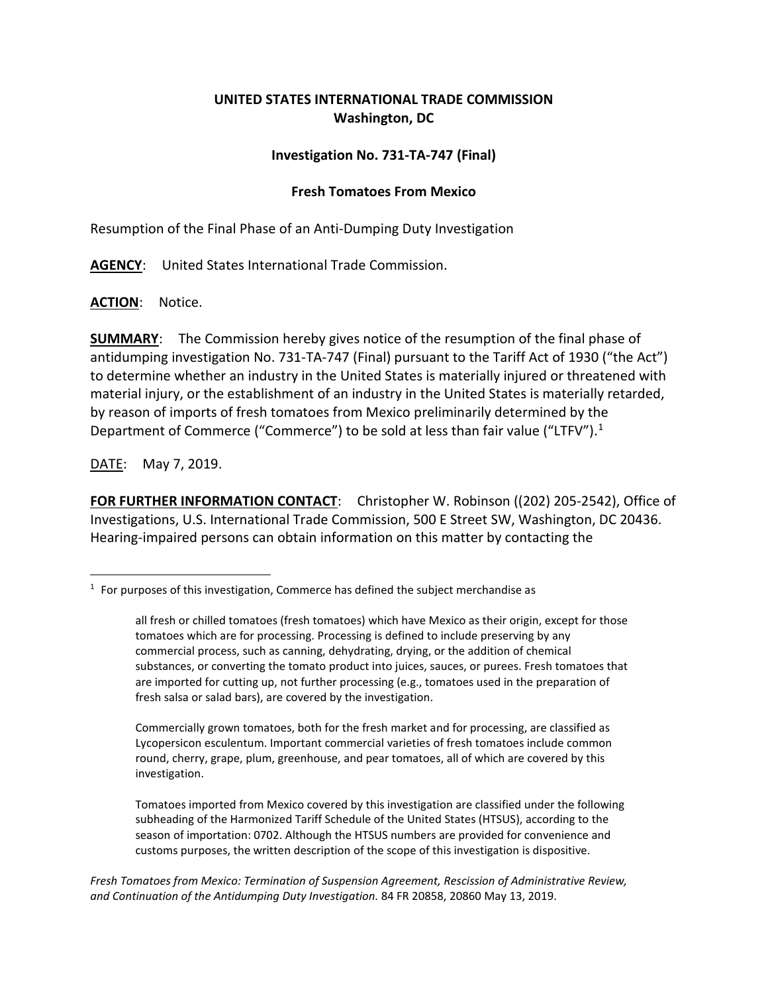## **UNITED STATES INTERNATIONAL TRADE COMMISSION Washington, DC**

## **Investigation No. 731-TA-747 (Final)**

## **Fresh Tomatoes From Mexico**

Resumption of the Final Phase of an Anti-Dumping Duty Investigation

**AGENCY**: United States International Trade Commission.

**ACTION**: Notice.

**SUMMARY**: The Commission hereby gives notice of the resumption of the final phase of antidumping investigation No. 731-TA-747 (Final) pursuant to the Tariff Act of 1930 ("the Act") to determine whether an industry in the United States is materially injured or threatened with material injury, or the establishment of an industry in the United States is materially retarded, by reason of imports of fresh tomatoes from Mexico preliminarily determined by the Department of Commerce ("Commerce") to be sold at less than fair value ("LTFV").<sup>[1](#page-0-0)</sup>

DATE: May 7, 2019.

 $\overline{a}$ 

**FOR FURTHER INFORMATION CONTACT**: Christopher W. Robinson ((202) 205-2542), Office of Investigations, U.S. International Trade Commission, 500 E Street SW, Washington, DC 20436. Hearing-impaired persons can obtain information on this matter by contacting the

Commercially grown tomatoes, both for the fresh market and for processing, are classified as Lycopersicon esculentum. Important commercial varieties of fresh tomatoes include common round, cherry, grape, plum, greenhouse, and pear tomatoes, all of which are covered by this investigation.

Tomatoes imported from Mexico covered by this investigation are classified under the following subheading of the Harmonized Tariff Schedule of the United States (HTSUS), according to the season of importation: 0702. Although the HTSUS numbers are provided for convenience and customs purposes, the written description of the scope of this investigation is dispositive.

*Fresh Tomatoes from Mexico: Termination of Suspension Agreement, Rescission of Administrative Review, and Continuation of the Antidumping Duty Investigation.* 84 FR 20858, 20860 May 13, 2019.

<span id="page-0-0"></span> $1$  For purposes of this investigation, Commerce has defined the subject merchandise as

all fresh or chilled tomatoes (fresh tomatoes) which have Mexico as their origin, except for those tomatoes which are for processing. Processing is defined to include preserving by any commercial process, such as canning, dehydrating, drying, or the addition of chemical substances, or converting the tomato product into juices, sauces, or purees. Fresh tomatoes that are imported for cutting up, not further processing (e.g., tomatoes used in the preparation of fresh salsa or salad bars), are covered by the investigation.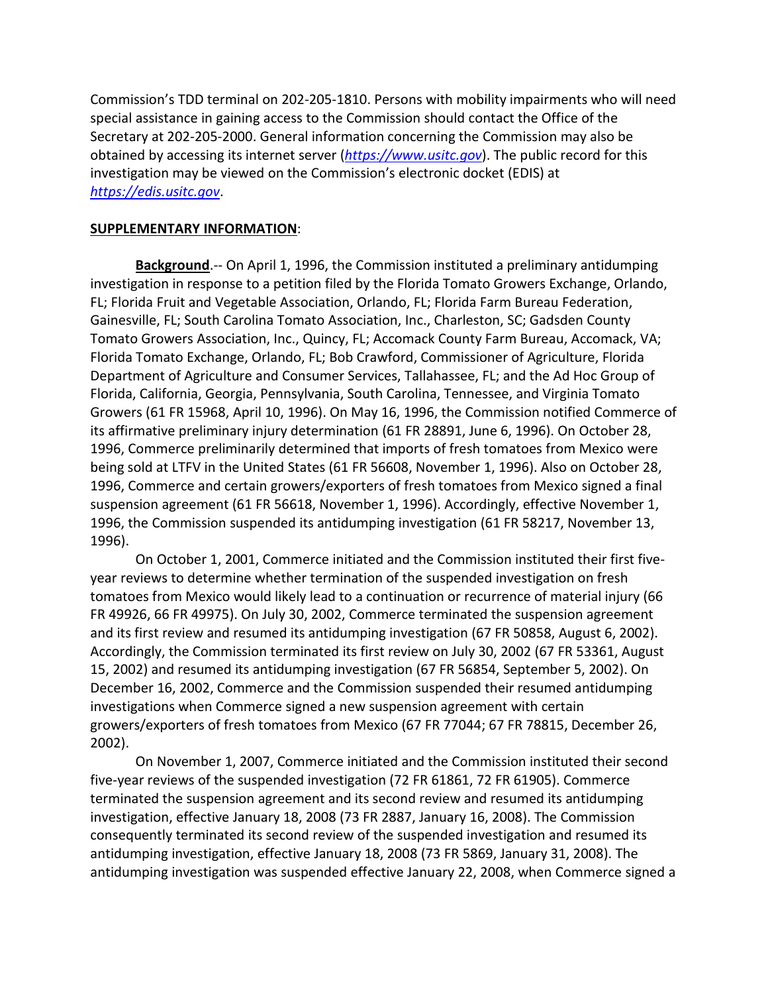Commission's TDD terminal on 202-205-1810. Persons with mobility impairments who will need special assistance in gaining access to the Commission should contact the Office of the Secretary at 202-205-2000. General information concerning the Commission may also be obtained by accessing its internet server (*[https://www.usitc.gov](https://www.usitc.gov/)*). The public record for this investigation may be viewed on the Commission's electronic docket (EDIS) at *[https://edis.usitc.gov](https://edis.usitc.gov/)*.

## **SUPPLEMENTARY INFORMATION**:

**Background**.-- On April 1, 1996, the Commission instituted a preliminary antidumping investigation in response to a petition filed by the Florida Tomato Growers Exchange, Orlando, FL; Florida Fruit and Vegetable Association, Orlando, FL; Florida Farm Bureau Federation, Gainesville, FL; South Carolina Tomato Association, Inc., Charleston, SC; Gadsden County Tomato Growers Association, Inc., Quincy, FL; Accomack County Farm Bureau, Accomack, VA; Florida Tomato Exchange, Orlando, FL; Bob Crawford, Commissioner of Agriculture, Florida Department of Agriculture and Consumer Services, Tallahassee, FL; and the Ad Hoc Group of Florida, California, Georgia, Pennsylvania, South Carolina, Tennessee, and Virginia Tomato Growers (61 FR 15968, April 10, 1996). On May 16, 1996, the Commission notified Commerce of its affirmative preliminary injury determination (61 FR 28891, June 6, 1996). On October 28, 1996, Commerce preliminarily determined that imports of fresh tomatoes from Mexico were being sold at LTFV in the United States (61 FR 56608, November 1, 1996). Also on October 28, 1996, Commerce and certain growers/exporters of fresh tomatoes from Mexico signed a final suspension agreement (61 FR 56618, November 1, 1996). Accordingly, effective November 1, 1996, the Commission suspended its antidumping investigation (61 FR 58217, November 13, 1996).

On October 1, 2001, Commerce initiated and the Commission instituted their first fiveyear reviews to determine whether termination of the suspended investigation on fresh tomatoes from Mexico would likely lead to a continuation or recurrence of material injury (66 FR 49926, 66 FR 49975). On July 30, 2002, Commerce terminated the suspension agreement and its first review and resumed its antidumping investigation (67 FR 50858, August 6, 2002). Accordingly, the Commission terminated its first review on July 30, 2002 (67 FR 53361, August 15, 2002) and resumed its antidumping investigation (67 FR 56854, September 5, 2002). On December 16, 2002, Commerce and the Commission suspended their resumed antidumping investigations when Commerce signed a new suspension agreement with certain growers/exporters of fresh tomatoes from Mexico (67 FR 77044; 67 FR 78815, December 26, 2002).

On November 1, 2007, Commerce initiated and the Commission instituted their second five-year reviews of the suspended investigation (72 FR 61861, 72 FR 61905). Commerce terminated the suspension agreement and its second review and resumed its antidumping investigation, effective January 18, 2008 (73 FR 2887, January 16, 2008). The Commission consequently terminated its second review of the suspended investigation and resumed its antidumping investigation, effective January 18, 2008 (73 FR 5869, January 31, 2008). The antidumping investigation was suspended effective January 22, 2008, when Commerce signed a